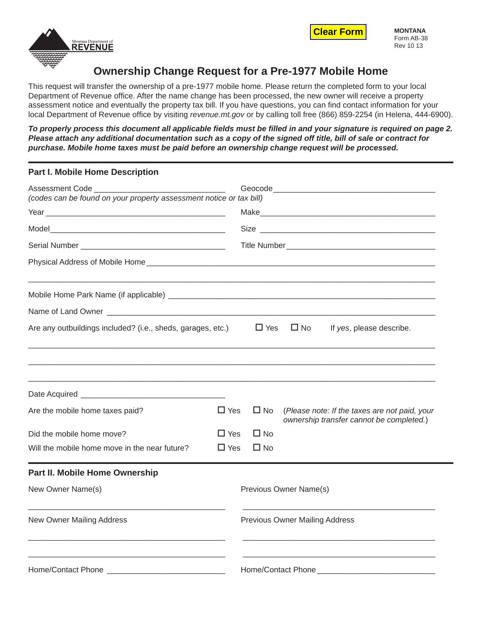



# **Ownership Change Request for a Pre-1977 Mobile Home**

This request will transfer the ownership of a pre-1977 mobile home. Please return the completed form to your local Department of Revenue office. After the name change has been processed, the new owner will receive a property assessment notice and eventually the property tax bill. If you have questions, you can find contact information for your local Department of Revenue office by visiting *revenue.mt.gov* or by calling toll free (866) 859-2254 (in Helena, 444-6900).

*To properly process this document all applicable fi elds must be fi lled in and your signature is required on page 2. Please attach any additional documentation such as a copy of the signed off title, bill of sale or contract for purchase. Mobile home taxes must be paid before an ownership change request will be processed.*

## **Part I. Mobile Home Description**

| <b>Assessment Code</b><br>(codes can be found on your property assessment notice or tax bill) |                             |                                       |                                                                                           |
|-----------------------------------------------------------------------------------------------|-----------------------------|---------------------------------------|-------------------------------------------------------------------------------------------|
|                                                                                               |                             |                                       |                                                                                           |
|                                                                                               |                             |                                       |                                                                                           |
|                                                                                               |                             |                                       |                                                                                           |
|                                                                                               |                             |                                       |                                                                                           |
|                                                                                               |                             |                                       |                                                                                           |
|                                                                                               |                             |                                       |                                                                                           |
| Are any outbuildings included? (i.e., sheds, garages, etc.)                                   |                             | $\Box$ Yes                            | $\Box$ No<br>If yes, please describe.                                                     |
| Are the mobile home taxes paid?<br>Did the mobile home move?                                  | $\Box$ Yes<br>$\square$ Yes | $\Box$ No<br>$\Box$ No                | (Please note: If the taxes are not paid, your<br>ownership transfer cannot be completed.) |
| Will the mobile home move in the near future?                                                 | $\Box$ Yes                  | $\Box$ No                             |                                                                                           |
| Part II. Mobile Home Ownership                                                                |                             |                                       |                                                                                           |
| New Owner Name(s)                                                                             |                             |                                       | Previous Owner Name(s)                                                                    |
| New Owner Mailing Address                                                                     |                             | <b>Previous Owner Mailing Address</b> |                                                                                           |
|                                                                                               |                             |                                       | Home/Contact Phone_                                                                       |